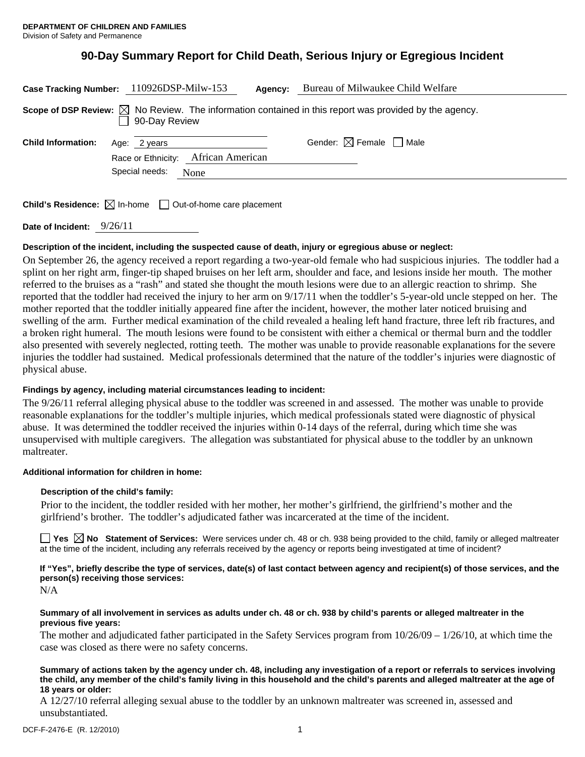# **90-Day Summary Report for Child Death, Serious Injury or Egregious Incident**

| Case Tracking Number: 110926DSP-Milw-153                                                                                          |                                |                                             | Agency: | Bureau of Milwaukee Child Welfare      |
|-----------------------------------------------------------------------------------------------------------------------------------|--------------------------------|---------------------------------------------|---------|----------------------------------------|
| Scope of DSP Review: $\boxtimes$ No Review. The information contained in this report was provided by the agency.<br>90-Day Review |                                |                                             |         |                                        |
| <b>Child Information:</b>                                                                                                         | Age: 2 years<br>Special needs: | Race or Ethnicity: African American<br>None |         | Gender: $\boxtimes$ Female $\Box$ Male |
| <b>Child's Residence:</b> $\boxtimes$ In-home $\Box$ Out-of-home care placement                                                   |                                |                                             |         |                                        |

**Date of Incident:** 9/26/11

# **Description of the incident, including the suspected cause of death, injury or egregious abuse or neglect:**

On September 26, the agency received a report regarding a two-year-old female who had suspicious injuries. The toddler had a splint on her right arm, finger-tip shaped bruises on her left arm, shoulder and face, and lesions inside her mouth. The mother referred to the bruises as a "rash" and stated she thought the mouth lesions were due to an allergic reaction to shrimp. She reported that the toddler had received the injury to her arm on 9/17/11 when the toddler's 5-year-old uncle stepped on her. The mother reported that the toddler initially appeared fine after the incident, however, the mother later noticed bruising and swelling of the arm. Further medical examination of the child revealed a healing left hand fracture, three left rib fractures, and a broken right humeral. The mouth lesions were found to be consistent with either a chemical or thermal burn and the toddler also presented with severely neglected, rotting teeth. The mother was unable to provide reasonable explanations for the severe injuries the toddler had sustained. Medical professionals determined that the nature of the toddler's injuries were diagnostic of physical abuse.

## **Findings by agency, including material circumstances leading to incident:**

The 9/26/11 referral alleging physical abuse to the toddler was screened in and assessed. The mother was unable to provide reasonable explanations for the toddler's multiple injuries, which medical professionals stated were diagnostic of physical abuse. It was determined the toddler received the injuries within 0-14 days of the referral, during which time she was unsupervised with multiple caregivers. The allegation was substantiated for physical abuse to the toddler by an unknown maltreater.

## **Additional information for children in home:**

## **Description of the child's family:**

Prior to the incident, the toddler resided with her mother, her mother's girlfriend, the girlfriend's mother and the girlfriend's brother. The toddler's adjudicated father was incarcerated at the time of the incident.

**Yes No Statement of Services:** Were services under ch. 48 or ch. 938 being provided to the child, family or alleged maltreater at the time of the incident, including any referrals received by the agency or reports being investigated at time of incident?

**If "Yes", briefly describe the type of services, date(s) of last contact between agency and recipient(s) of those services, and the person(s) receiving those services:** 

N/A

#### **Summary of all involvement in services as adults under ch. 48 or ch. 938 by child's parents or alleged maltreater in the previous five years:**

The mother and adjudicated father participated in the Safety Services program from 10/26/09 – 1/26/10, at which time the case was closed as there were no safety concerns.

#### **Summary of actions taken by the agency under ch. 48, including any investigation of a report or referrals to services involving the child, any member of the child's family living in this household and the child's parents and alleged maltreater at the age of 18 years or older:**

A 12/27/10 referral alleging sexual abuse to the toddler by an unknown maltreater was screened in, assessed and unsubstantiated.